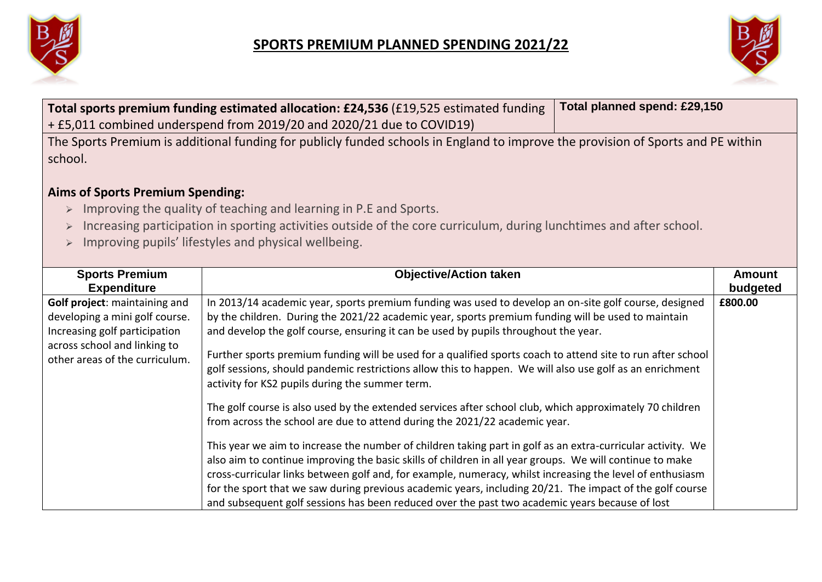



|                                                                | Total sports premium funding estimated allocation: £24,536 (£19,525 estimated funding<br>+ £5,011 combined underspend from 2019/20 and 2020/21 due to COVID19)                                                        | Total planned spend: £29,150 |                           |
|----------------------------------------------------------------|-----------------------------------------------------------------------------------------------------------------------------------------------------------------------------------------------------------------------|------------------------------|---------------------------|
| school.                                                        | The Sports Premium is additional funding for publicly funded schools in England to improve the provision of Sports and PE within                                                                                      |                              |                           |
| <b>Aims of Sports Premium Spending:</b>                        |                                                                                                                                                                                                                       |                              |                           |
| $\blacktriangleright$                                          | Improving the quality of teaching and learning in P.E and Sports.                                                                                                                                                     |                              |                           |
| $\blacktriangleright$                                          | Increasing participation in sporting activities outside of the core curriculum, during lunchtimes and after school.                                                                                                   |                              |                           |
| $\blacktriangleright$                                          | Improving pupils' lifestyles and physical wellbeing.                                                                                                                                                                  |                              |                           |
|                                                                |                                                                                                                                                                                                                       |                              |                           |
| <b>Sports Premium</b><br><b>Expenditure</b>                    | <b>Objective/Action taken</b>                                                                                                                                                                                         |                              | <b>Amount</b><br>budgeted |
| Golf project: maintaining and                                  | In 2013/14 academic year, sports premium funding was used to develop an on-site golf course, designed                                                                                                                 |                              | £800.00                   |
| developing a mini golf course.                                 | by the children. During the 2021/22 academic year, sports premium funding will be used to maintain                                                                                                                    |                              |                           |
| Increasing golf participation                                  | and develop the golf course, ensuring it can be used by pupils throughout the year.                                                                                                                                   |                              |                           |
| across school and linking to<br>other areas of the curriculum. | Further sports premium funding will be used for a qualified sports coach to attend site to run after school                                                                                                           |                              |                           |
|                                                                | golf sessions, should pandemic restrictions allow this to happen. We will also use golf as an enrichment                                                                                                              |                              |                           |
|                                                                | activity for KS2 pupils during the summer term.                                                                                                                                                                       |                              |                           |
|                                                                | The golf course is also used by the extended services after school club, which approximately 70 children                                                                                                              |                              |                           |
|                                                                | from across the school are due to attend during the 2021/22 academic year.                                                                                                                                            |                              |                           |
|                                                                |                                                                                                                                                                                                                       |                              |                           |
|                                                                | This year we aim to increase the number of children taking part in golf as an extra-curricular activity. We                                                                                                           |                              |                           |
|                                                                | also aim to continue improving the basic skills of children in all year groups. We will continue to make                                                                                                              |                              |                           |
|                                                                | cross-curricular links between golf and, for example, numeracy, whilst increasing the level of enthusiasm<br>for the sport that we saw during previous academic years, including 20/21. The impact of the golf course |                              |                           |
|                                                                | and subsequent golf sessions has been reduced over the past two academic years because of lost                                                                                                                        |                              |                           |
|                                                                |                                                                                                                                                                                                                       |                              |                           |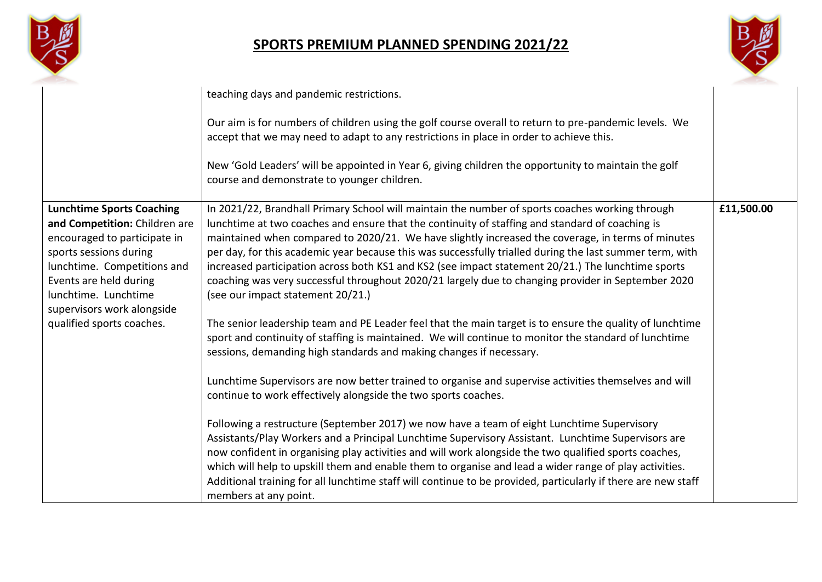



|                                                                                                                                                                                                                                                                         | teaching days and pandemic restrictions.                                                                                                                                                                                                                                                                                                                                                                                                                                                                                                                                                                                                                                                                                                                                                                                                                                                                                                                                                                                                                                                                                                                                                                                                                                                                                                                                                                                                                                                                                                                                                                                                                                                                     |            |
|-------------------------------------------------------------------------------------------------------------------------------------------------------------------------------------------------------------------------------------------------------------------------|--------------------------------------------------------------------------------------------------------------------------------------------------------------------------------------------------------------------------------------------------------------------------------------------------------------------------------------------------------------------------------------------------------------------------------------------------------------------------------------------------------------------------------------------------------------------------------------------------------------------------------------------------------------------------------------------------------------------------------------------------------------------------------------------------------------------------------------------------------------------------------------------------------------------------------------------------------------------------------------------------------------------------------------------------------------------------------------------------------------------------------------------------------------------------------------------------------------------------------------------------------------------------------------------------------------------------------------------------------------------------------------------------------------------------------------------------------------------------------------------------------------------------------------------------------------------------------------------------------------------------------------------------------------------------------------------------------------|------------|
|                                                                                                                                                                                                                                                                         | Our aim is for numbers of children using the golf course overall to return to pre-pandemic levels. We<br>accept that we may need to adapt to any restrictions in place in order to achieve this.                                                                                                                                                                                                                                                                                                                                                                                                                                                                                                                                                                                                                                                                                                                                                                                                                                                                                                                                                                                                                                                                                                                                                                                                                                                                                                                                                                                                                                                                                                             |            |
|                                                                                                                                                                                                                                                                         | New 'Gold Leaders' will be appointed in Year 6, giving children the opportunity to maintain the golf<br>course and demonstrate to younger children.                                                                                                                                                                                                                                                                                                                                                                                                                                                                                                                                                                                                                                                                                                                                                                                                                                                                                                                                                                                                                                                                                                                                                                                                                                                                                                                                                                                                                                                                                                                                                          |            |
| <b>Lunchtime Sports Coaching</b><br>and Competition: Children are<br>encouraged to participate in<br>sports sessions during<br>lunchtime. Competitions and<br>Events are held during<br>lunchtime. Lunchtime<br>supervisors work alongside<br>qualified sports coaches. | In 2021/22, Brandhall Primary School will maintain the number of sports coaches working through<br>lunchtime at two coaches and ensure that the continuity of staffing and standard of coaching is<br>maintained when compared to 2020/21. We have slightly increased the coverage, in terms of minutes<br>per day, for this academic year because this was successfully trialled during the last summer term, with<br>increased participation across both KS1 and KS2 (see impact statement 20/21.) The lunchtime sports<br>coaching was very successful throughout 2020/21 largely due to changing provider in September 2020<br>(see our impact statement 20/21.)<br>The senior leadership team and PE Leader feel that the main target is to ensure the quality of lunchtime<br>sport and continuity of staffing is maintained. We will continue to monitor the standard of lunchtime<br>sessions, demanding high standards and making changes if necessary.<br>Lunchtime Supervisors are now better trained to organise and supervise activities themselves and will<br>continue to work effectively alongside the two sports coaches.<br>Following a restructure (September 2017) we now have a team of eight Lunchtime Supervisory<br>Assistants/Play Workers and a Principal Lunchtime Supervisory Assistant. Lunchtime Supervisors are<br>now confident in organising play activities and will work alongside the two qualified sports coaches,<br>which will help to upskill them and enable them to organise and lead a wider range of play activities.<br>Additional training for all lunchtime staff will continue to be provided, particularly if there are new staff<br>members at any point. | £11,500.00 |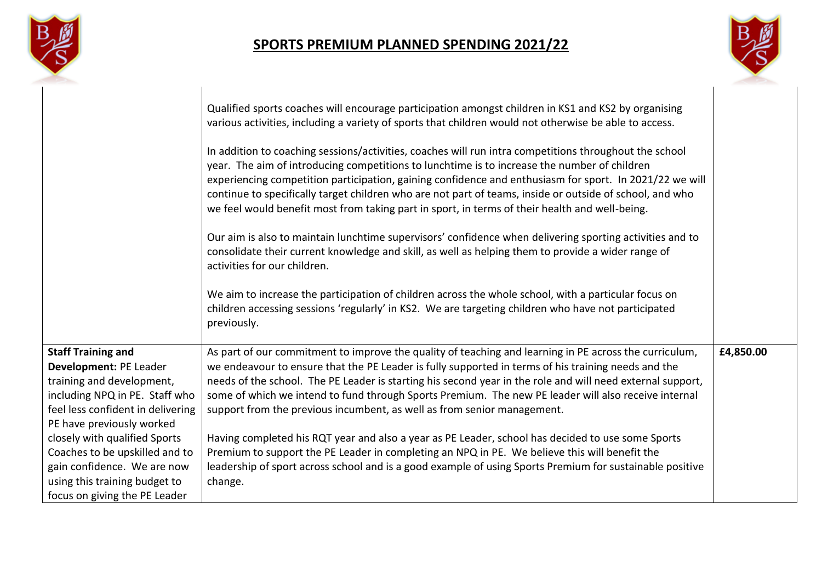



|                                                                                                                                                                                                                                                                                                                                                          | Qualified sports coaches will encourage participation amongst children in KS1 and KS2 by organising<br>various activities, including a variety of sports that children would not otherwise be able to access.<br>In addition to coaching sessions/activities, coaches will run intra competitions throughout the school<br>year. The aim of introducing competitions to lunchtime is to increase the number of children<br>experiencing competition participation, gaining confidence and enthusiasm for sport. In 2021/22 we will<br>continue to specifically target children who are not part of teams, inside or outside of school, and who<br>we feel would benefit most from taking part in sport, in terms of their health and well-being.<br>Our aim is also to maintain lunchtime supervisors' confidence when delivering sporting activities and to<br>consolidate their current knowledge and skill, as well as helping them to provide a wider range of<br>activities for our children.<br>We aim to increase the participation of children across the whole school, with a particular focus on<br>children accessing sessions 'regularly' in KS2. We are targeting children who have not participated<br>previously. |           |
|----------------------------------------------------------------------------------------------------------------------------------------------------------------------------------------------------------------------------------------------------------------------------------------------------------------------------------------------------------|----------------------------------------------------------------------------------------------------------------------------------------------------------------------------------------------------------------------------------------------------------------------------------------------------------------------------------------------------------------------------------------------------------------------------------------------------------------------------------------------------------------------------------------------------------------------------------------------------------------------------------------------------------------------------------------------------------------------------------------------------------------------------------------------------------------------------------------------------------------------------------------------------------------------------------------------------------------------------------------------------------------------------------------------------------------------------------------------------------------------------------------------------------------------------------------------------------------------------------|-----------|
| <b>Staff Training and</b><br>Development: PE Leader<br>training and development,<br>including NPQ in PE. Staff who<br>feel less confident in delivering<br>PE have previously worked<br>closely with qualified Sports<br>Coaches to be upskilled and to<br>gain confidence. We are now<br>using this training budget to<br>focus on giving the PE Leader | As part of our commitment to improve the quality of teaching and learning in PE across the curriculum,<br>we endeavour to ensure that the PE Leader is fully supported in terms of his training needs and the<br>needs of the school. The PE Leader is starting his second year in the role and will need external support,<br>some of which we intend to fund through Sports Premium. The new PE leader will also receive internal<br>support from the previous incumbent, as well as from senior management.<br>Having completed his RQT year and also a year as PE Leader, school has decided to use some Sports<br>Premium to support the PE Leader in completing an NPQ in PE. We believe this will benefit the<br>leadership of sport across school and is a good example of using Sports Premium for sustainable positive<br>change.                                                                                                                                                                                                                                                                                                                                                                                      | £4,850.00 |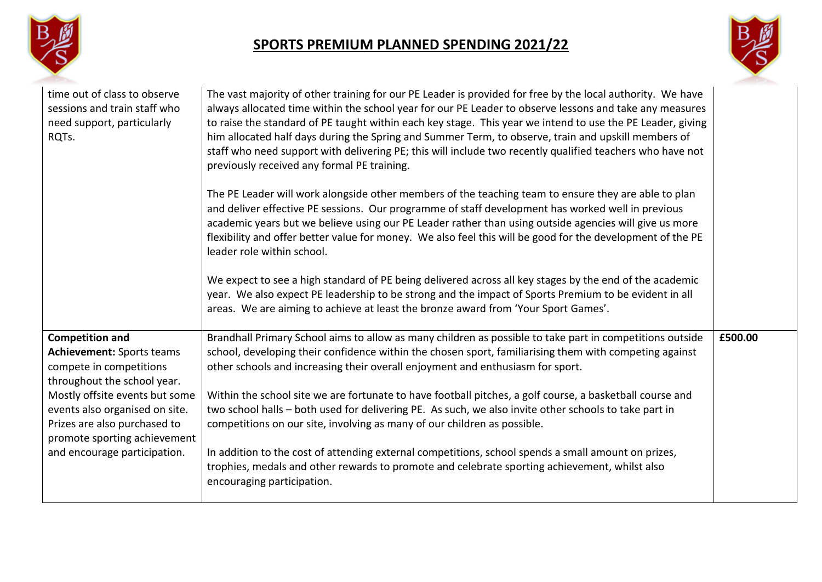



| time out of class to observe<br>sessions and train staff who<br>need support, particularly<br>RQTs.                                                                                                                                                                                      | The vast majority of other training for our PE Leader is provided for free by the local authority. We have<br>always allocated time within the school year for our PE Leader to observe lessons and take any measures<br>to raise the standard of PE taught within each key stage. This year we intend to use the PE Leader, giving<br>him allocated half days during the Spring and Summer Term, to observe, train and upskill members of<br>staff who need support with delivering PE; this will include two recently qualified teachers who have not<br>previously received any formal PE training.<br>The PE Leader will work alongside other members of the teaching team to ensure they are able to plan<br>and deliver effective PE sessions. Our programme of staff development has worked well in previous<br>academic years but we believe using our PE Leader rather than using outside agencies will give us more<br>flexibility and offer better value for money. We also feel this will be good for the development of the PE<br>leader role within school.<br>We expect to see a high standard of PE being delivered across all key stages by the end of the academic<br>year. We also expect PE leadership to be strong and the impact of Sports Premium to be evident in all<br>areas. We are aiming to achieve at least the bronze award from 'Your Sport Games'. |         |
|------------------------------------------------------------------------------------------------------------------------------------------------------------------------------------------------------------------------------------------------------------------------------------------|-------------------------------------------------------------------------------------------------------------------------------------------------------------------------------------------------------------------------------------------------------------------------------------------------------------------------------------------------------------------------------------------------------------------------------------------------------------------------------------------------------------------------------------------------------------------------------------------------------------------------------------------------------------------------------------------------------------------------------------------------------------------------------------------------------------------------------------------------------------------------------------------------------------------------------------------------------------------------------------------------------------------------------------------------------------------------------------------------------------------------------------------------------------------------------------------------------------------------------------------------------------------------------------------------------------------------------------------------------------------------------------|---------|
| <b>Competition and</b><br><b>Achievement: Sports teams</b><br>compete in competitions<br>throughout the school year.<br>Mostly offsite events but some<br>events also organised on site.<br>Prizes are also purchased to<br>promote sporting achievement<br>and encourage participation. | Brandhall Primary School aims to allow as many children as possible to take part in competitions outside<br>school, developing their confidence within the chosen sport, familiarising them with competing against<br>other schools and increasing their overall enjoyment and enthusiasm for sport.<br>Within the school site we are fortunate to have football pitches, a golf course, a basketball course and<br>two school halls - both used for delivering PE. As such, we also invite other schools to take part in<br>competitions on our site, involving as many of our children as possible.<br>In addition to the cost of attending external competitions, school spends a small amount on prizes,<br>trophies, medals and other rewards to promote and celebrate sporting achievement, whilst also<br>encouraging participation.                                                                                                                                                                                                                                                                                                                                                                                                                                                                                                                                         | £500.00 |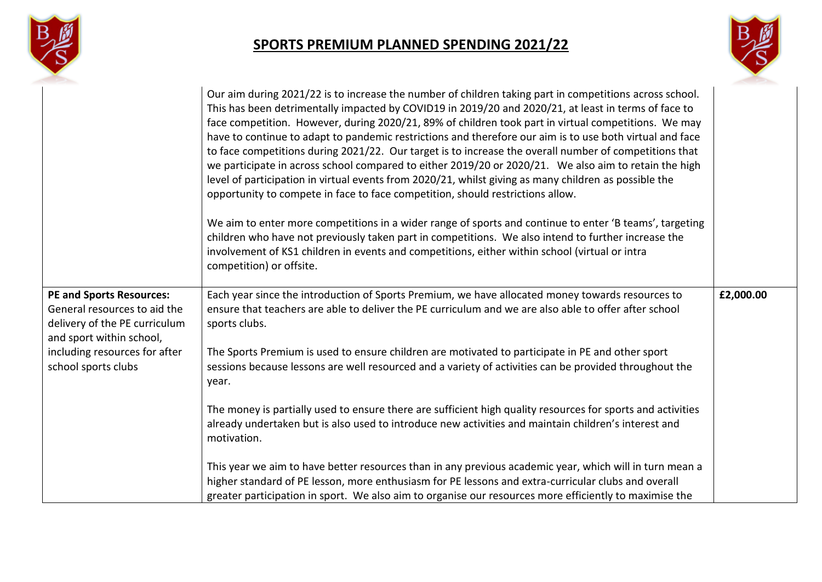



|                                                                                                                              | Our aim during 2021/22 is to increase the number of children taking part in competitions across school.<br>This has been detrimentally impacted by COVID19 in 2019/20 and 2020/21, at least in terms of face to<br>face competition. However, during 2020/21, 89% of children took part in virtual competitions. We may<br>have to continue to adapt to pandemic restrictions and therefore our aim is to use both virtual and face<br>to face competitions during 2021/22. Our target is to increase the overall number of competitions that<br>we participate in across school compared to either 2019/20 or 2020/21. We also aim to retain the high<br>level of participation in virtual events from 2020/21, whilst giving as many children as possible the<br>opportunity to compete in face to face competition, should restrictions allow.<br>We aim to enter more competitions in a wider range of sports and continue to enter 'B teams', targeting<br>children who have not previously taken part in competitions. We also intend to further increase the<br>involvement of KS1 children in events and competitions, either within school (virtual or intra<br>competition) or offsite. |           |
|------------------------------------------------------------------------------------------------------------------------------|---------------------------------------------------------------------------------------------------------------------------------------------------------------------------------------------------------------------------------------------------------------------------------------------------------------------------------------------------------------------------------------------------------------------------------------------------------------------------------------------------------------------------------------------------------------------------------------------------------------------------------------------------------------------------------------------------------------------------------------------------------------------------------------------------------------------------------------------------------------------------------------------------------------------------------------------------------------------------------------------------------------------------------------------------------------------------------------------------------------------------------------------------------------------------------------------------|-----------|
| <b>PE and Sports Resources:</b><br>General resources to aid the<br>delivery of the PE curriculum<br>and sport within school, | Each year since the introduction of Sports Premium, we have allocated money towards resources to<br>ensure that teachers are able to deliver the PE curriculum and we are also able to offer after school<br>sports clubs.                                                                                                                                                                                                                                                                                                                                                                                                                                                                                                                                                                                                                                                                                                                                                                                                                                                                                                                                                                        | £2,000.00 |
| including resources for after<br>school sports clubs                                                                         | The Sports Premium is used to ensure children are motivated to participate in PE and other sport<br>sessions because lessons are well resourced and a variety of activities can be provided throughout the<br>year.                                                                                                                                                                                                                                                                                                                                                                                                                                                                                                                                                                                                                                                                                                                                                                                                                                                                                                                                                                               |           |
|                                                                                                                              | The money is partially used to ensure there are sufficient high quality resources for sports and activities<br>already undertaken but is also used to introduce new activities and maintain children's interest and<br>motivation.                                                                                                                                                                                                                                                                                                                                                                                                                                                                                                                                                                                                                                                                                                                                                                                                                                                                                                                                                                |           |
|                                                                                                                              | This year we aim to have better resources than in any previous academic year, which will in turn mean a<br>higher standard of PE lesson, more enthusiasm for PE lessons and extra-curricular clubs and overall<br>greater participation in sport. We also aim to organise our resources more efficiently to maximise the                                                                                                                                                                                                                                                                                                                                                                                                                                                                                                                                                                                                                                                                                                                                                                                                                                                                          |           |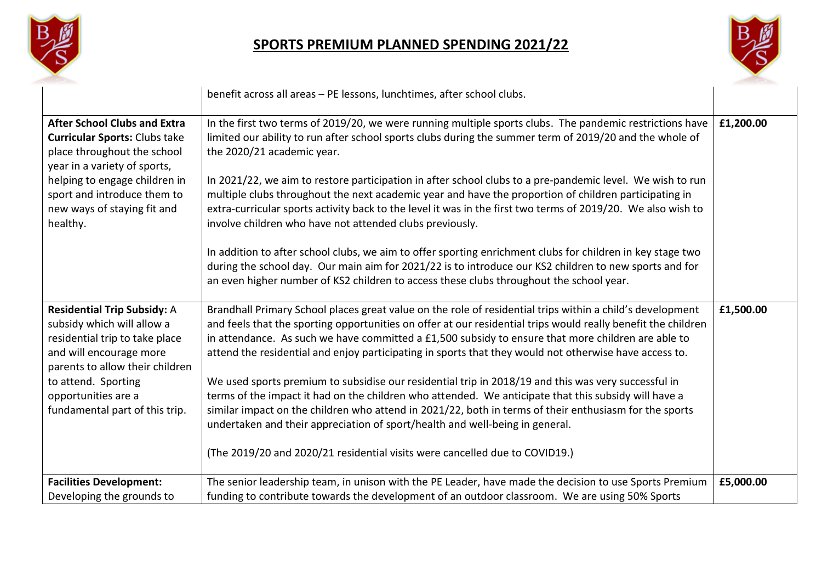



|                                                                                                                                                                                                                                                       | benefit across all areas - PE lessons, lunchtimes, after school clubs.                                                                                                                                                                                                                                                                                                                                                                                                                                                                                                                                                                                                                                                                                            |           |
|-------------------------------------------------------------------------------------------------------------------------------------------------------------------------------------------------------------------------------------------------------|-------------------------------------------------------------------------------------------------------------------------------------------------------------------------------------------------------------------------------------------------------------------------------------------------------------------------------------------------------------------------------------------------------------------------------------------------------------------------------------------------------------------------------------------------------------------------------------------------------------------------------------------------------------------------------------------------------------------------------------------------------------------|-----------|
| <b>After School Clubs and Extra</b><br><b>Curricular Sports: Clubs take</b><br>place throughout the school<br>year in a variety of sports,<br>helping to engage children in<br>sport and introduce them to<br>new ways of staying fit and<br>healthy. | In the first two terms of 2019/20, we were running multiple sports clubs. The pandemic restrictions have<br>limited our ability to run after school sports clubs during the summer term of 2019/20 and the whole of<br>the 2020/21 academic year.<br>In 2021/22, we aim to restore participation in after school clubs to a pre-pandemic level. We wish to run<br>multiple clubs throughout the next academic year and have the proportion of children participating in<br>extra-curricular sports activity back to the level it was in the first two terms of 2019/20. We also wish to<br>involve children who have not attended clubs previously.<br>In addition to after school clubs, we aim to offer sporting enrichment clubs for children in key stage two | £1,200.00 |
|                                                                                                                                                                                                                                                       | during the school day. Our main aim for 2021/22 is to introduce our KS2 children to new sports and for<br>an even higher number of KS2 children to access these clubs throughout the school year.                                                                                                                                                                                                                                                                                                                                                                                                                                                                                                                                                                 |           |
| <b>Residential Trip Subsidy: A</b><br>subsidy which will allow a<br>residential trip to take place<br>and will encourage more<br>parents to allow their children                                                                                      | Brandhall Primary School places great value on the role of residential trips within a child's development<br>and feels that the sporting opportunities on offer at our residential trips would really benefit the children<br>in attendance. As such we have committed a £1,500 subsidy to ensure that more children are able to<br>attend the residential and enjoy participating in sports that they would not otherwise have access to.                                                                                                                                                                                                                                                                                                                        | £1,500.00 |
| to attend. Sporting<br>opportunities are a<br>fundamental part of this trip.                                                                                                                                                                          | We used sports premium to subsidise our residential trip in 2018/19 and this was very successful in<br>terms of the impact it had on the children who attended. We anticipate that this subsidy will have a<br>similar impact on the children who attend in 2021/22, both in terms of their enthusiasm for the sports<br>undertaken and their appreciation of sport/health and well-being in general.<br>(The 2019/20 and 2020/21 residential visits were cancelled due to COVID19.)                                                                                                                                                                                                                                                                              |           |
| <b>Facilities Development:</b><br>Developing the grounds to                                                                                                                                                                                           | The senior leadership team, in unison with the PE Leader, have made the decision to use Sports Premium<br>funding to contribute towards the development of an outdoor classroom. We are using 50% Sports                                                                                                                                                                                                                                                                                                                                                                                                                                                                                                                                                          | £5,000.00 |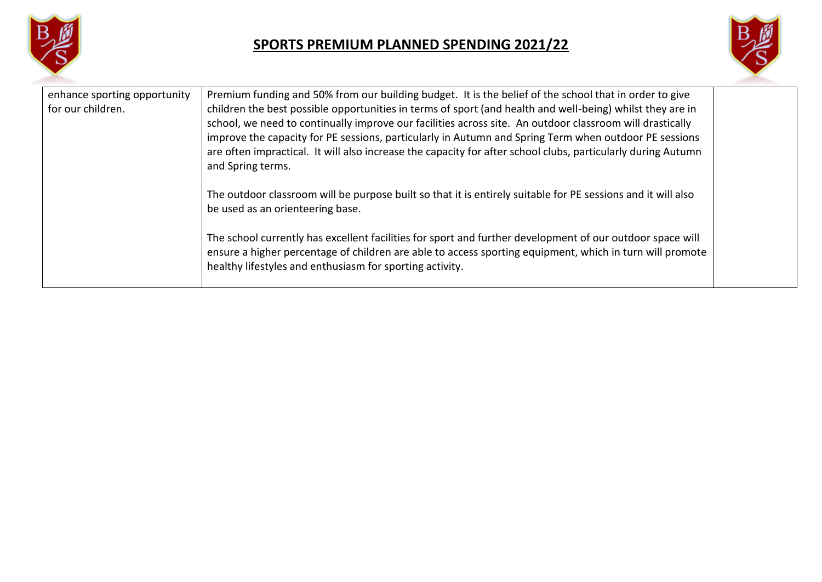



| enhance sporting opportunity<br>for our children. | Premium funding and 50% from our building budget. It is the belief of the school that in order to give<br>children the best possible opportunities in terms of sport (and health and well-being) whilst they are in<br>school, we need to continually improve our facilities across site. An outdoor classroom will drastically<br>improve the capacity for PE sessions, particularly in Autumn and Spring Term when outdoor PE sessions<br>are often impractical. It will also increase the capacity for after school clubs, particularly during Autumn<br>and Spring terms.<br>The outdoor classroom will be purpose built so that it is entirely suitable for PE sessions and it will also<br>be used as an orienteering base.<br>The school currently has excellent facilities for sport and further development of our outdoor space will<br>ensure a higher percentage of children are able to access sporting equipment, which in turn will promote<br>healthy lifestyles and enthusiasm for sporting activity. |  |
|---------------------------------------------------|------------------------------------------------------------------------------------------------------------------------------------------------------------------------------------------------------------------------------------------------------------------------------------------------------------------------------------------------------------------------------------------------------------------------------------------------------------------------------------------------------------------------------------------------------------------------------------------------------------------------------------------------------------------------------------------------------------------------------------------------------------------------------------------------------------------------------------------------------------------------------------------------------------------------------------------------------------------------------------------------------------------------|--|
|                                                   |                                                                                                                                                                                                                                                                                                                                                                                                                                                                                                                                                                                                                                                                                                                                                                                                                                                                                                                                                                                                                        |  |